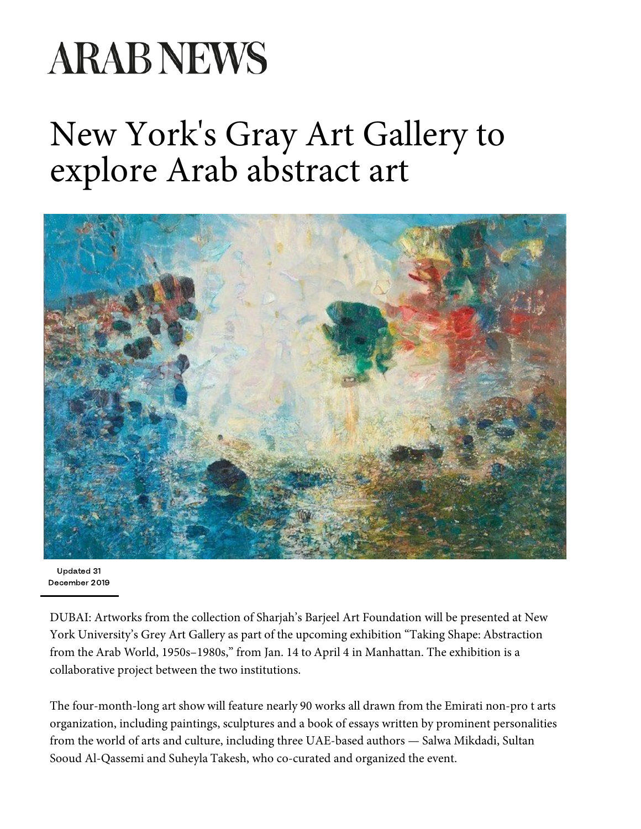## **ARAB NEWS**

## N[ew York's Gr](https://www.arabnews.com/saudiarabia)[ay Art Galle](https://www.arabnews.com/middleeast)[r](https://www.arabnews.com/opinion)[y to](https://www.arabnews.com/world)  [ex](https://www.arabnews.com/main-category/media)[plore Arab](https://www.arabnews.com/economy) [abstrac](https://www.arabnews.com/sport)[t art](https://www.arabnews.com/lifestyle)



Updated 31 December 2019

DUBAI: Artworks from the collection of Sharjah's Barjeel [Art Foundation will be present](https://www.arabnews.com/node/1608296/business-economy)e[d at New](https://www.arabnews.com/node/1608296/business-economy)  York University's Grey Art Gallery as part of the upcoming exhibition "Taking Shape: Abstraction from the Arab World, 1950s–1980s," from Jan. 14 to April 4 in Manhattan. The exhibition is a collaborative project between the two institutions.

The four-month-long art show will feature nearly 90 works [all drawn from the Emirati](https://www.arabnews.com/node/1608291/middle-east) non-pro t arts organization, including paintings, sculptures and a book of essays written by prominent [personalities](https://www.arabnews.com/node/1608291/middle-east)  from the world of arts and culture, including three UAE-based authors — Salwa Mikdadi, Sultan Sooud Al-Qassemi and Suheyla Takesh, who co-curated and organized the event.